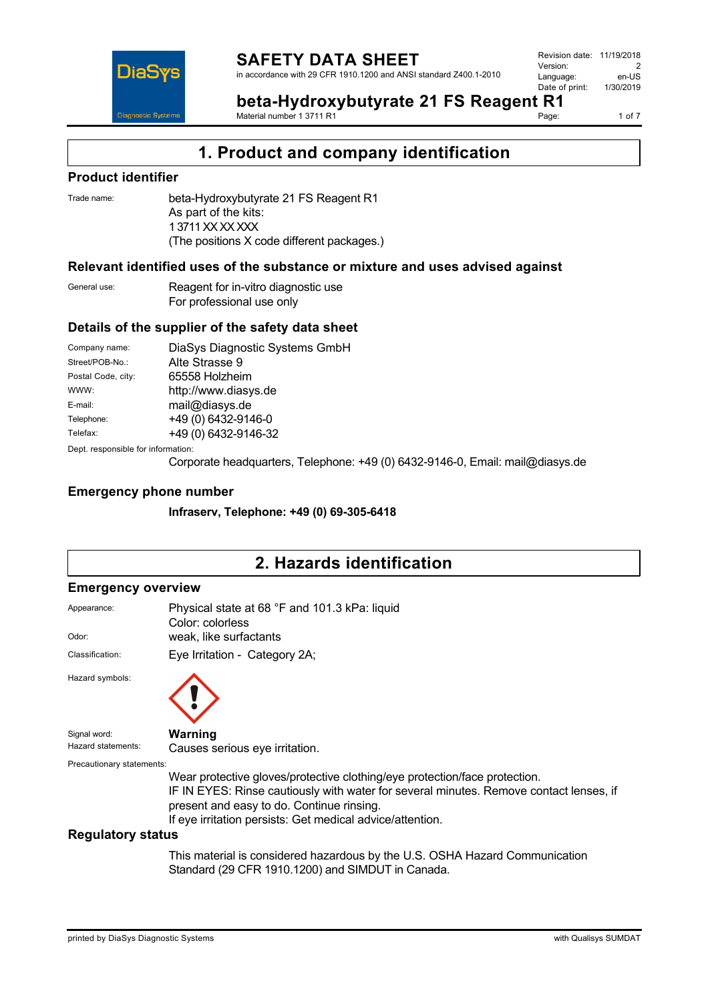

in accordance with 29 CFR 1910.1200 and ANSI standard Z400.1-2010

Revision date: 11/19/2018 Version: 2<br>Language: en-LIS Language: en-US<br>Date of print: 1/30/2019  $Date$  of print:

**beta-Hydroxybutyrate 21 FS Reagent R1**

Material number 1 3711 R1

1 of 7

# **Product identifier**

DiaS

**Diagnostic Systen** 

Trade name: beta-Hydroxybutyrate 21 FS Reagent R1 As part of the kits: 1 3711 XX XX XXX (The positions X code different packages.)

# **Relevant identified uses of the substance or mixture and uses advised against**

General use: Reagent for in-vitro diagnostic use For professional use only

# **Details of the supplier of the safety data sheet**

| Company name:                      | DiaSys Diagnostic Systems GmbH |  |  |
|------------------------------------|--------------------------------|--|--|
| Street/POB-No.:                    | Alte Strasse 9                 |  |  |
| Postal Code, city:                 | 65558 Holzheim                 |  |  |
| WWW:                               | http://www.diasys.de           |  |  |
| E-mail:                            | mail@diasys.de                 |  |  |
| Telephone:                         | +49 (0) 6432-9146-0            |  |  |
| Telefax:                           | +49 (0) 6432-9146-32           |  |  |
| Dept. responsible for information: |                                |  |  |

Corporate headquarters, Telephone: +49 (0) 6432-9146-0, Email: mail@diasys.de

# **Emergency phone number**

**Infraserv, Telephone: +49 (0) 69-305-6418**

# **2. Hazards identification**

## **Emergency overview**

| Appearance:                        | Physical state at 68 °F and 101.3 kPa: liquid<br>Color: colorless                                                                                                                                                                                                              |
|------------------------------------|--------------------------------------------------------------------------------------------------------------------------------------------------------------------------------------------------------------------------------------------------------------------------------|
| Odor:                              | weak, like surfactants                                                                                                                                                                                                                                                         |
| Classification:                    | Eye Irritation - Category 2A;                                                                                                                                                                                                                                                  |
| Hazard symbols:                    |                                                                                                                                                                                                                                                                                |
| Signal word:<br>Hazard statements: | Warning<br>Causes serious eye irritation.                                                                                                                                                                                                                                      |
| Precautionary statements:          | Wear protective gloves/protective clothing/eye protection/face protection.<br>IF IN EYES: Rinse cautiously with water for several minutes. Remove contact lenses, if<br>present and easy to do. Continue rinsing.<br>If eye irritation persists: Get medical advice/attention. |
| Requistory status                  |                                                                                                                                                                                                                                                                                |

#### **Regulatory status**

This material is considered hazardous by the U.S. OSHA Hazard Communication Standard (29 CFR 1910.1200) and SIMDUT in Canada.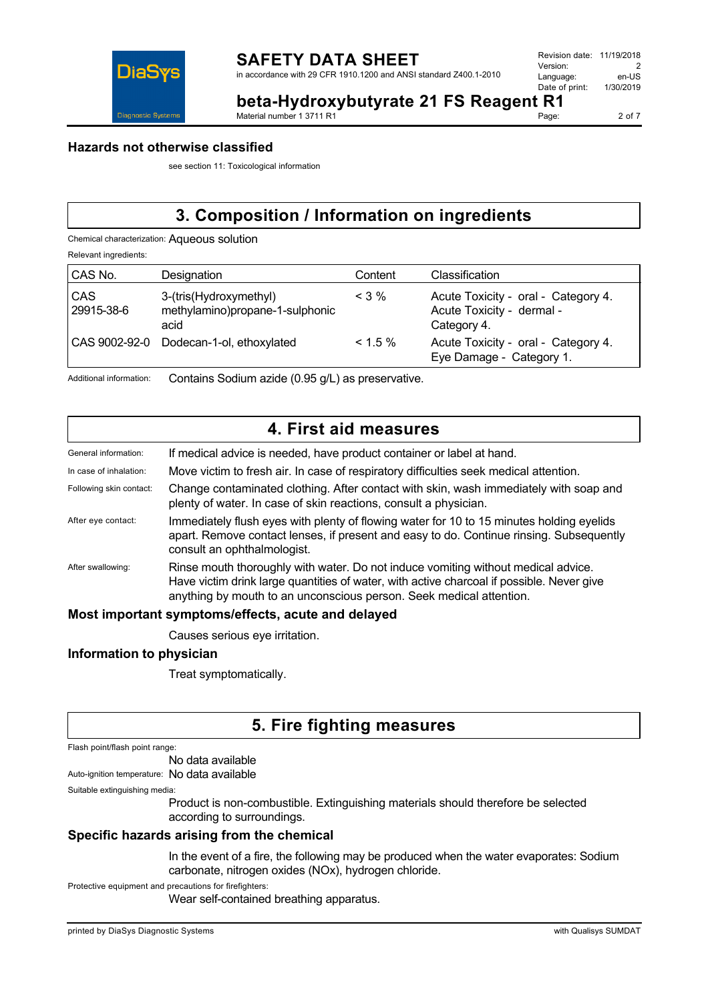

**beta-Hydroxybutyrate 21 FS Reagent R1**

Material number 1 3711 R1

2 of 7

## **Hazards not otherwise classified**

see section 11: Toxicological information

# **3. Composition / Information on ingredients**

Chemical characterization: Aqueous solution

Relevant ingredients:

| CAS No.           | Designation                                                       | Content    | Classification                                                                  |
|-------------------|-------------------------------------------------------------------|------------|---------------------------------------------------------------------------------|
| CAS<br>29915-38-6 | 3-(tris(Hydroxymethyl)<br>methylamino)propane-1-sulphonic<br>acid | $<$ 3 %    | Acute Toxicity - oral - Category 4.<br>Acute Toxicity - dermal -<br>Category 4. |
| CAS 9002-92-0     | Dodecan-1-ol, ethoxylated                                         | $< 1.5 \%$ | Acute Toxicity - oral - Category 4.<br>Eye Damage - Category 1.                 |

Additional information: Contains Sodium azide (0.95 g/L) as preservative.

# **4. First aid measures**

| General information:    | If medical advice is needed, have product container or label at hand.                                                                                                                                                                                 |
|-------------------------|-------------------------------------------------------------------------------------------------------------------------------------------------------------------------------------------------------------------------------------------------------|
| In case of inhalation:  | Move victim to fresh air. In case of respiratory difficulties seek medical attention.                                                                                                                                                                 |
| Following skin contact: | Change contaminated clothing. After contact with skin, wash immediately with soap and<br>plenty of water. In case of skin reactions, consult a physician.                                                                                             |
| After eye contact:      | Immediately flush eyes with plenty of flowing water for 10 to 15 minutes holding eyelids<br>apart. Remove contact lenses, if present and easy to do. Continue rinsing. Subsequently<br>consult an ophthalmologist.                                    |
| After swallowing:       | Rinse mouth thoroughly with water. Do not induce vomiting without medical advice.<br>Have victim drink large quantities of water, with active charcoal if possible. Never give<br>anything by mouth to an unconscious person. Seek medical attention. |
|                         | March been containt concentrate of the star are started at the count                                                                                                                                                                                  |

## **Most important symptoms/effects, acute and delayed**

Causes serious eye irritation.

## **Information to physician**

Treat symptomatically.

# **5. Fire fighting measures**

Flash point/flash point range:

No data available

Auto-ignition temperature: No data available

Suitable extinguishing media:

Product is non-combustible. Extinguishing materials should therefore be selected according to surroundings.

# **Specific hazards arising from the chemical**

In the event of a fire, the following may be produced when the water evaporates: Sodium carbonate, nitrogen oxides (NOx), hydrogen chloride.

Protective equipment and precautions for firefighters:

Wear self-contained breathing apparatus.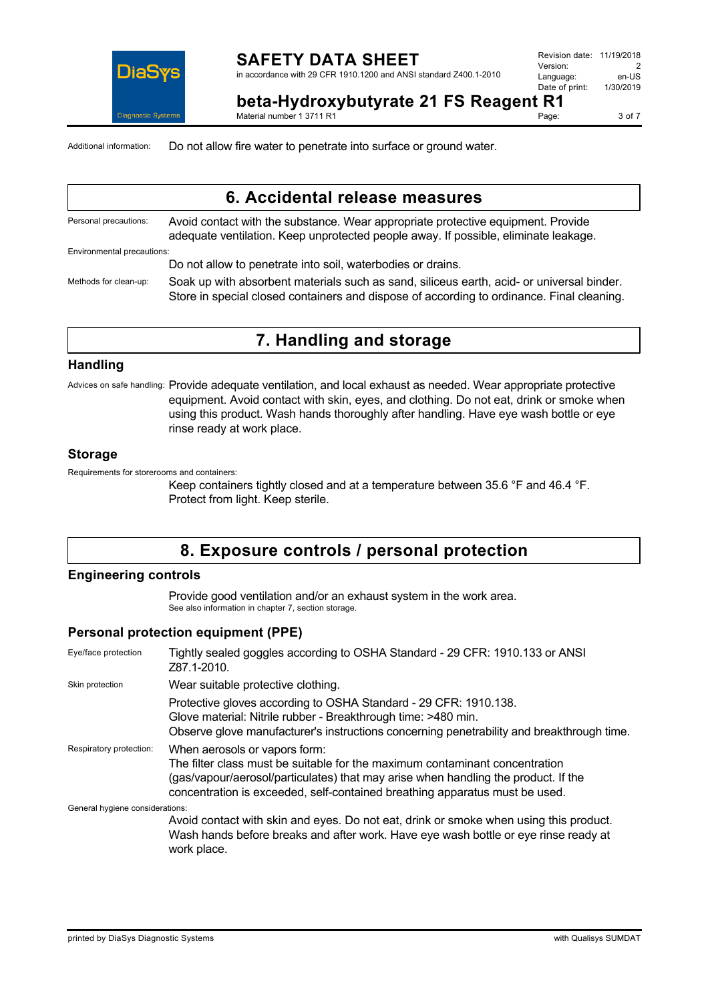

## **SAFETY DATA SHEET** in accordance with 29 CFR 1910.1200 and ANSI standard Z400.1-2010

Page: 3 of 7

**beta-Hydroxybutyrate 21 FS Reagent R1**

Material number 1 3711 R1

Additional information: Do not allow fire water to penetrate into surface or ground water.

# **6. Accidental release measures**

| Personal precautions:      | Avoid contact with the substance. Wear appropriate protective equipment. Provide<br>adequate ventilation. Keep unprotected people away. If possible, eliminate leakage.                |
|----------------------------|----------------------------------------------------------------------------------------------------------------------------------------------------------------------------------------|
| Environmental precautions: |                                                                                                                                                                                        |
|                            | Do not allow to penetrate into soil, waterbodies or drains.                                                                                                                            |
| Methods for clean-up:      | Soak up with absorbent materials such as sand, siliceus earth, acid- or universal binder.<br>Store in special closed containers and dispose of according to ordinance. Final cleaning. |

# **7. Handling and storage**

# **Handling**

Advices on safe handling: Provide adequate ventilation, and local exhaust as needed. Wear appropriate protective equipment. Avoid contact with skin, eyes, and clothing. Do not eat, drink or smoke when using this product. Wash hands thoroughly after handling. Have eye wash bottle or eye rinse ready at work place.

# **Storage**

Requirements for storerooms and containers:

Keep containers tightly closed and at a temperature between 35.6 °F and 46.4 °F. Protect from light. Keep sterile.

# **8. Exposure controls / personal protection**

# **Engineering controls**

Provide good ventilation and/or an exhaust system in the work area. See also information in chapter 7, section storage.

# **Personal protection equipment (PPE)**

| Eye/face protection             | Tightly sealed goggles according to OSHA Standard - 29 CFR: 1910.133 or ANSI<br>Z87.1-2010.                                                                                                                                                                                       |
|---------------------------------|-----------------------------------------------------------------------------------------------------------------------------------------------------------------------------------------------------------------------------------------------------------------------------------|
| Skin protection                 | Wear suitable protective clothing.                                                                                                                                                                                                                                                |
|                                 | Protective gloves according to OSHA Standard - 29 CFR: 1910.138.<br>Glove material: Nitrile rubber - Breakthrough time: >480 min.<br>Observe glove manufacturer's instructions concerning penetrability and breakthrough time.                                                    |
| Respiratory protection:         | When aerosols or vapors form:<br>The filter class must be suitable for the maximum contaminant concentration<br>(gas/vapour/aerosol/particulates) that may arise when handling the product. If the<br>concentration is exceeded, self-contained breathing apparatus must be used. |
| General hygiene considerations: |                                                                                                                                                                                                                                                                                   |
|                                 | Avoid contact with skin and eyes. Do not eat, drink or smoke when using this product.<br>Wash hands before breaks and after work. Have eye wash bottle or eye rinse ready at<br>work place.                                                                                       |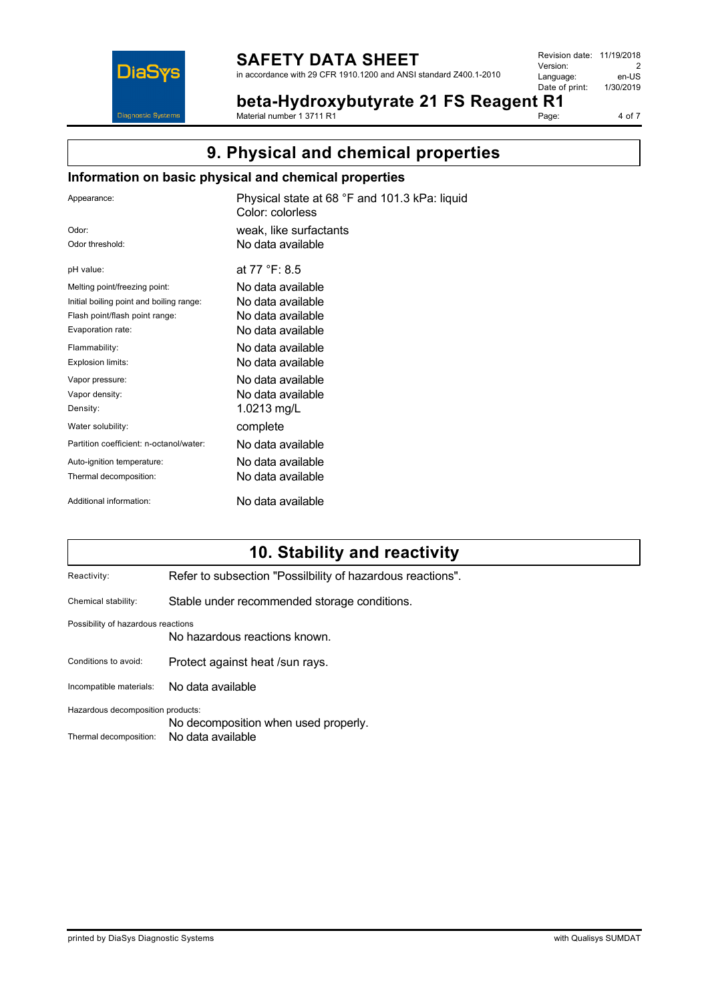

# **SAFETY DATA SHEET**

in accordance with 29 CFR 1910.1200 and ANSI standard Z400.1-2010

Revision date: 11/19/2018 Version: 2<br>
Language: en-US Language: en-US<br>Date of print: 1/30/2019 Date of print:

**beta-Hydroxybutyrate 21 FS Reagent R1**

kPa: liquid

Material number 1 3711 R1 Page: 4 of 7

# **9. Physical and chemical properties**

# **Information on basic physical and chemical properties**

| Appearance:                              | Physical state at 68 °F and 101.3<br>Color: colorless |  |  |
|------------------------------------------|-------------------------------------------------------|--|--|
| Odor <sup>-</sup>                        | weak, like surfactants                                |  |  |
| Odor threshold:                          | No data available                                     |  |  |
| pH value:                                | at 77 °F: 8.5                                         |  |  |
| Melting point/freezing point:            | No data available                                     |  |  |
| Initial boiling point and boiling range: | No data available                                     |  |  |
| Flash point/flash point range:           | No data available                                     |  |  |
| Evaporation rate:                        | No data available                                     |  |  |
| Flammability:                            | No data available                                     |  |  |
| Explosion limits:                        | No data available                                     |  |  |
| Vapor pressure:                          | No data available                                     |  |  |
| Vapor density:                           | No data available                                     |  |  |
| Density:                                 | 1.0213 mg/L                                           |  |  |
| Water solubility:                        | complete                                              |  |  |
| Partition coefficient: n-octanol/water:  | No data available                                     |  |  |
| Auto-ignition temperature:               | No data available                                     |  |  |
| Thermal decomposition:                   | No data available                                     |  |  |
| Additional information:                  | No data available                                     |  |  |

# **10. Stability and reactivity**

| Reactivity:                                                               | Refer to subsection "Possilbility of hazardous reactions". |  |  |
|---------------------------------------------------------------------------|------------------------------------------------------------|--|--|
| Chemical stability:                                                       | Stable under recommended storage conditions.               |  |  |
| Possibility of hazardous reactions<br>No hazardous reactions known        |                                                            |  |  |
| Conditions to avoid:                                                      | Protect against heat /sun rays.                            |  |  |
| Incompatible materials:                                                   | No data available                                          |  |  |
| Hazardous decomposition products:<br>No decomposition when used properly. |                                                            |  |  |
| Thermal decomposition:                                                    | No data available                                          |  |  |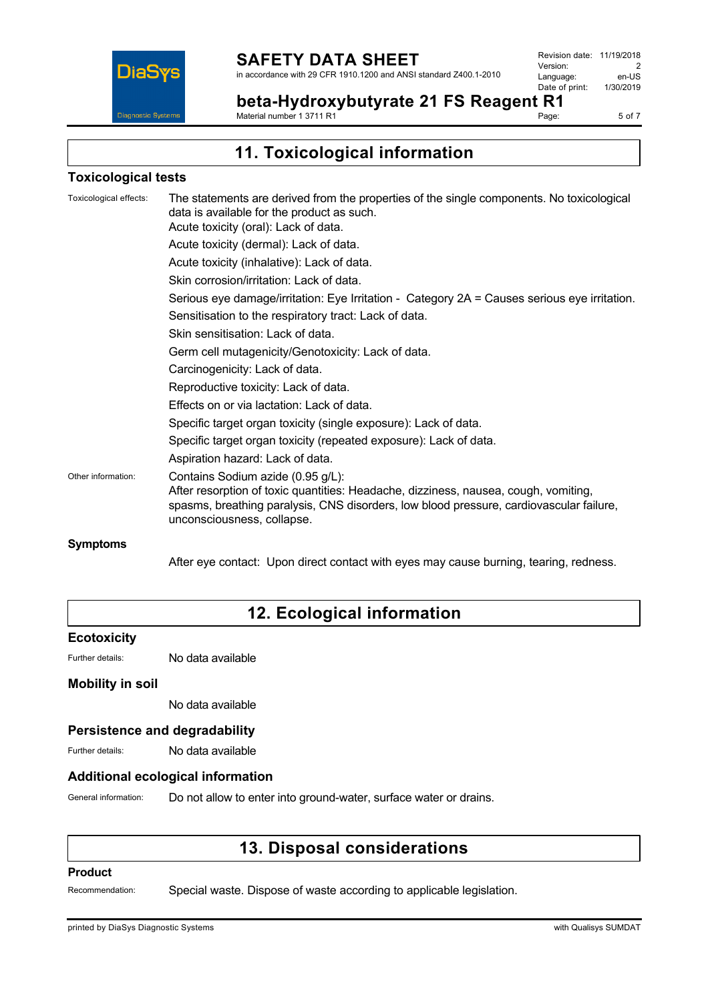

**beta-Hydroxybutyrate 21 FS Reagent R1** Material number 1 3711 R1

Page: 5 of 7

**11. Toxicological information**

## **Toxicological tests**

|                    | Acute toxicity (oral): Lack of data.<br>Acute toxicity (dermal): Lack of data.                                                                                                                                                                    |
|--------------------|---------------------------------------------------------------------------------------------------------------------------------------------------------------------------------------------------------------------------------------------------|
|                    | Acute toxicity (inhalative): Lack of data.                                                                                                                                                                                                        |
|                    | Skin corrosion/irritation: Lack of data.                                                                                                                                                                                                          |
|                    | Serious eye damage/irritation: Eye Irritation - Category 2A = Causes serious eye irritation.                                                                                                                                                      |
|                    | Sensitisation to the respiratory tract: Lack of data.                                                                                                                                                                                             |
|                    | Skin sensitisation: Lack of data.                                                                                                                                                                                                                 |
|                    | Germ cell mutagenicity/Genotoxicity: Lack of data.                                                                                                                                                                                                |
|                    | Carcinogenicity: Lack of data.                                                                                                                                                                                                                    |
|                    | Reproductive toxicity: Lack of data.                                                                                                                                                                                                              |
|                    | Effects on or via lactation: Lack of data.                                                                                                                                                                                                        |
|                    | Specific target organ toxicity (single exposure): Lack of data.                                                                                                                                                                                   |
|                    | Specific target organ toxicity (repeated exposure): Lack of data.                                                                                                                                                                                 |
|                    | Aspiration hazard: Lack of data.                                                                                                                                                                                                                  |
| Other information: | Contains Sodium azide (0.95 g/L):<br>After resorption of toxic quantities: Headache, dizziness, nausea, cough, vomiting,<br>spasms, breathing paralysis, CNS disorders, low blood pressure, cardiovascular failure,<br>unconsciousness, collapse. |
| <b>Symptoms</b>    |                                                                                                                                                                                                                                                   |

After eye contact: Upon direct contact with eyes may cause burning, tearing, redness.

# **12. Ecological information**

## **Ecotoxicity**

Further details: No data available

## **Mobility in soil**

No data available

## **Persistence and degradability**

Further details: No data available

## **Additional ecological information**

General information: Do not allow to enter into ground-water, surface water or drains.

# **13. Disposal considerations**

#### **Product**

Recommendation: Special waste. Dispose of waste according to applicable legislation.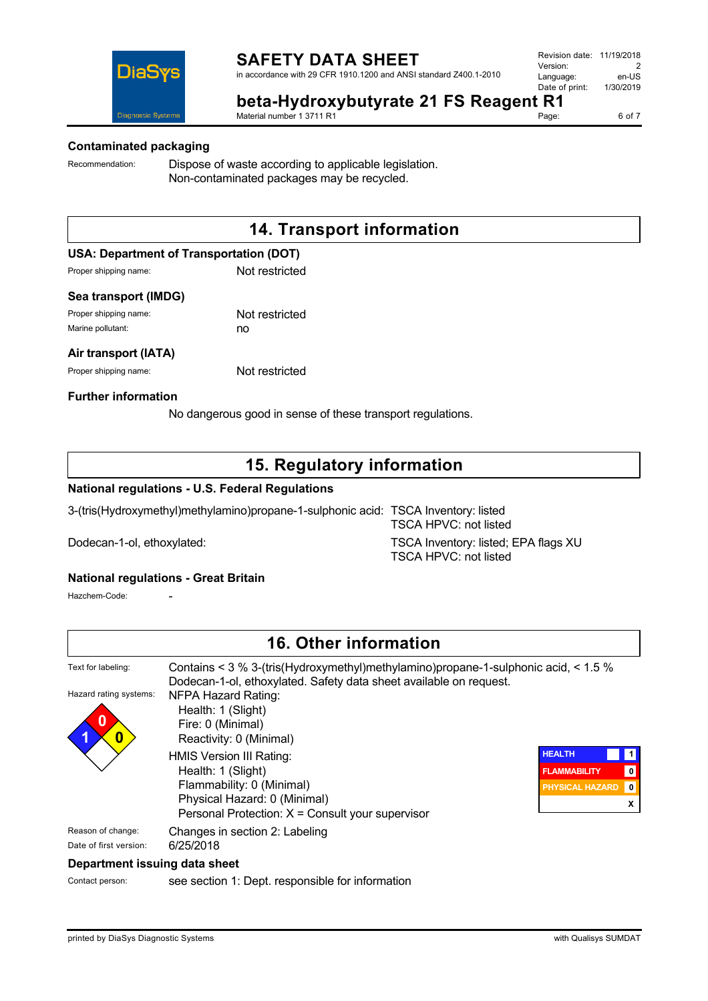



# **beta-Hydroxybutyrate 21 FS Reagent R1**

Material number 1 3711 R1

# **Contaminated packaging**

Recommendation: Dispose of waste according to applicable legislation. Non-contaminated packages may be recycled.

# **14. Transport information**

## **USA: Department of Transportation (DOT)**

Proper shipping name: Not restricted

## **Sea transport (IMDG)**

Proper shipping name: Not restricted Marine pollutant: no

#### **Air transport (IATA)**

Proper shipping name: Not restricted

## **Further information**

No dangerous good in sense of these transport regulations.

# **15. Regulatory information**

## **National regulations - U.S. Federal Regulations**

3-(tris(Hydroxymethyl)methylamino)propane-1-sulphonic acid: TSCA Inventory: listed

TSCA HPVC: not listed Dodecan-1-ol, ethoxylated: TSCA Inventory: listed; EPA flags XU TSCA HPVC: not listed

#### **National regulations - Great Britain**

Hazchem-Code:

|                                                 | <b>16. Other information</b>                                                                                                                                 |                        |           |
|-------------------------------------------------|--------------------------------------------------------------------------------------------------------------------------------------------------------------|------------------------|-----------|
| Text for labeling:                              | Contains < $3\%$ 3-(tris(Hydroxymethyl)methylamino)propane-1-sulphonic acid, < $1.5\%$<br>Dodecan-1-ol, ethoxylated. Safety data sheet available on request. |                        |           |
| Hazard rating systems:<br>0<br>$\boldsymbol{0}$ | NFPA Hazard Rating:<br>Health: 1 (Slight)<br>Fire: 0 (Minimal)<br>Reactivity: 0 (Minimal)                                                                    |                        |           |
|                                                 | HMIS Version III Rating:                                                                                                                                     | <b>HEALTH</b>          | $\vert$ 1 |
|                                                 | Health: 1 (Slight)                                                                                                                                           | <b>FLAMMABILITY</b>    | 0         |
|                                                 | Flammability: 0 (Minimal)                                                                                                                                    | <b>PHYSICAL HAZARD</b> | 0         |
|                                                 | Physical Hazard: 0 (Minimal)                                                                                                                                 |                        | x         |
|                                                 | Personal Protection: $X =$ Consult your supervisor                                                                                                           |                        |           |
| Reason of change:                               | Changes in section 2: Labeling                                                                                                                               |                        |           |
| Date of first version:                          | 6/25/2018                                                                                                                                                    |                        |           |
| Department issuing data sheet                   |                                                                                                                                                              |                        |           |
| Contact person:                                 | see section 1: Dept. responsible for information                                                                                                             |                        |           |

Page: 6 of 7